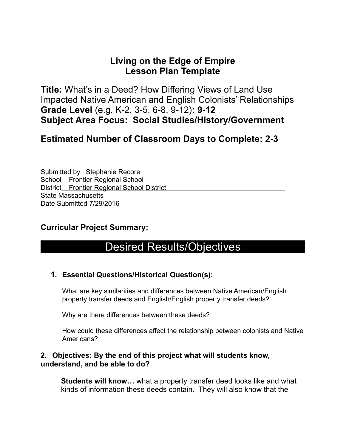### **Living on the Edge of Empire Lesson Plan Template**

**Title:** What's in a Deed? How Differing Views of Land Use Impacted Native American and English Colonists' Relationships **Grade Level** (e.g. K-2, 3-5, 6-8, 9-12)**: 9-12 Subject Area Focus: Social Studies/History/Government** 

### **Estimated Number of Classroom Days to Complete: 2-3**

Submitted by Stephanie Recore School Frontier Regional School District Frontier Regional School District State Massachusetts Date Submitted 7/29/2016

#### **Curricular Project Summary:**

## Desired Results/Objectives

#### **1. Essential Questions/Historical Question(s):**

What are key similarities and differences between Native American/English property transfer deeds and English/English property transfer deeds?

Why are there differences between these deeds?

How could these differences affect the relationship between colonists and Native Americans?

#### **2. Objectives: By the end of this project what will students know, understand, and be able to do?**

**Students will know…** what a property transfer deed looks like and what kinds of information these deeds contain. They will also know that the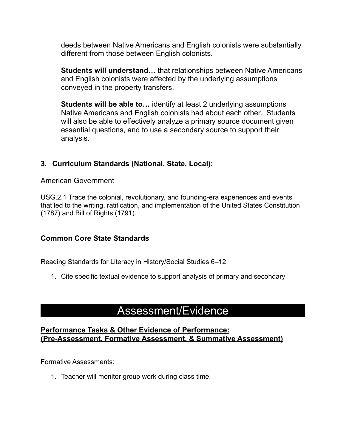deeds between Native Americans and English colonists were substantially different from those between English colonists.

**Students will understand…** that relationships between Native Americans and English colonists were affected by the underlying assumptions conveyed in the property transfers.

**Students will be able to…** identify at least 2 underlying assumptions Native Americans and English colonists had about each other. Students will also be able to effectively analyze a primary source document given essential questions, and to use a secondary source to support their analysis.

#### **3. Curriculum Standards (National, State, Local):**

American Government

USG.2.1 Trace the colonial, revolutionary, and founding-era experiences and events that led to the writing, ratification, and implementation of the United States Constitution (1787) and Bill of Rights (1791).

#### **Common Core State Standards**

Reading Standards for Literacy in History/Social Studies 6–12

1. Cite specific textual evidence to support analysis of primary and secondary

### Assessment/Evidence

#### **Performance Tasks & Other Evidence of Performance: (Pre-Assessment, Formative Assessment, & Summative Assessment)**

Formative Assessments:

1. Teacher will monitor group work during class time.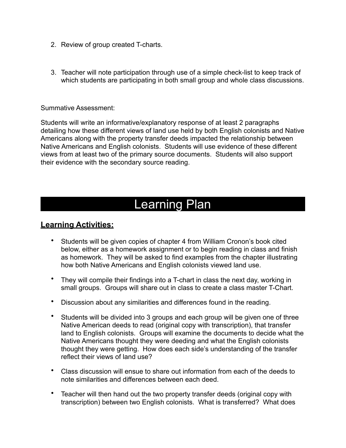- 2. Review of group created T-charts.
- 3. Teacher will note participation through use of a simple check-list to keep track of which students are participating in both small group and whole class discussions.

Summative Assessment:

Students will write an informative/explanatory response of at least 2 paragraphs detailing how these different views of land use held by both English colonists and Native Americans along with the property transfer deeds impacted the relationship between Native Americans and English colonists. Students will use evidence of these different views from at least two of the primary source documents. Students will also support their evidence with the secondary source reading.

# Learning Plan

#### **Learning Activities:**

- Students will be given copies of chapter 4 from William Cronon's book cited below, either as a homework assignment or to begin reading in class and finish as homework. They will be asked to find examples from the chapter illustrating how both Native Americans and English colonists viewed land use.
- They will compile their findings into a T-chart in class the next day, working in small groups. Groups will share out in class to create a class master T-Chart.
- Discussion about any similarities and differences found in the reading.
- Students will be divided into 3 groups and each group will be given one of three Native American deeds to read (original copy with transcription), that transfer land to English colonists. Groups will examine the documents to decide what the Native Americans thought they were deeding and what the English colonists thought they were getting. How does each side's understanding of the transfer reflect their views of land use?
- Class discussion will ensue to share out information from each of the deeds to note similarities and differences between each deed.
- Teacher will then hand out the two property transfer deeds (original copy with transcription) between two English colonists. What is transferred? What does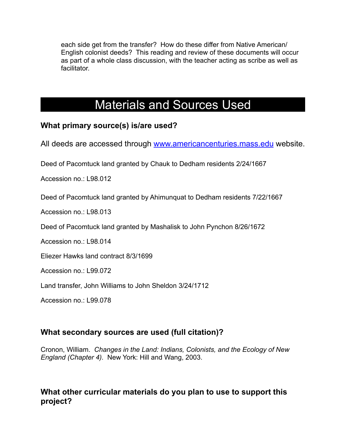each side get from the transfer? How do these differ from Native American/ English colonist deeds? This reading and review of these documents will occur as part of a whole class discussion, with the teacher acting as scribe as well as facilitator.

# Materials and Sources Used

#### **What primary source(s) is/are used?**

All deeds are accessed through [www.americancenturies.mass.edu](http://www.americancenturies.mass.edu) website.

Deed of Pacomtuck land granted by Chauk to Dedham residents 2/24/1667

Accession no.: L98.012

Deed of Pacomtuck land granted by Ahimunquat to Dedham residents 7/22/1667

Accession no.: L98.013

Deed of Pacomtuck land granted by Mashalisk to John Pynchon 8/26/1672

Accession no.: L98.014

Eliezer Hawks land contract 8/3/1699

Accession no.: L99.072

Land transfer, John Williams to John Sheldon 3/24/1712

Accession no. 199.078

#### **What secondary sources are used (full citation)?**

Cronon, William. *Changes in the Land: Indians, Colonists, and the Ecology of New England (Chapter 4).* New York: Hill and Wang, 2003.

#### **What other curricular materials do you plan to use to support this project?**